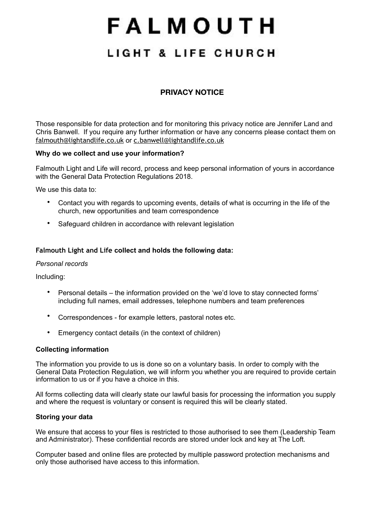# FALMOUTH

## LIGHT & LIFE CHURCH

### **PRIVACY NOTICE**

Those responsible for data protection and for monitoring this privacy notice are Jennifer Land and Chris Banwell. If you require any further information or have any concerns please contact them on [falmouth@lightandlife.co.uk](mailto:falmouth@lightandlife.co.uk) or [c.banwell@lightandlife.co.uk](mailto:c.banwell@lightandlife.co.uk)

#### **Why do we collect and use your information?**

Falmouth Light and Life will record, process and keep personal information of yours in accordance with the General Data Protection Regulations 2018.

We use this data to:

- Contact you with regards to upcoming events, details of what is occurring in the life of the church, new opportunities and team correspondence
- Safeguard children in accordance with relevant legislation

#### **Falmouth Light and Life collect and holds the following data:**

#### *Personal records*

Including:

- Personal details the information provided on the 'we'd love to stay connected forms' including full names, email addresses, telephone numbers and team preferences
- Correspondences for example letters, pastoral notes etc.
- Emergency contact details (in the context of children)

#### **Collecting information**

The information you provide to us is done so on a voluntary basis. In order to comply with the General Data Protection Regulation, we will inform you whether you are required to provide certain information to us or if you have a choice in this.

All forms collecting data will clearly state our lawful basis for processing the information you supply and where the request is voluntary or consent is required this will be clearly stated.

#### **Storing your data**

We ensure that access to your files is restricted to those authorised to see them (Leadership Team and Administrator). These confidential records are stored under lock and key at The Loft.

Computer based and online files are protected by multiple password protection mechanisms and only those authorised have access to this information.